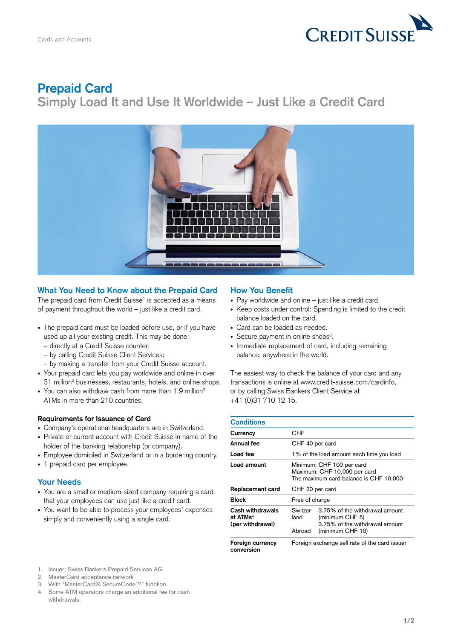

# **Prepaid Card**

**Simply Load It and Use It Worldwide – Just Like a Credit Card**



# **What You Need to Know about the Prepaid Card**

The prepaid card from Credit Suisse $^1$  is accepted as a means of payment throughout the world – just like a credit card.

- The prepaid card must be loaded before use, or if you have used up all your existing credit. This may be done:
	- directly at a Credit Suisse counter;
	- by calling Credit Suisse Client Services;
- by making a transfer from your Credit Suisse account.
- Your prepaid card lets you pay worldwide and online in over 31 million<sup>2</sup> businesses, restaurants, hotels, and online shops.
- You can also withdraw cash from more than 1.9 million<sup>2</sup> ATMs in more than 210 countries.

#### **Requirements for Issuance of Card**

- • Company's operational headquarters are in Switzerland.
- Private or current account with Credit Suisse in name of the holder of the banking relationship (or company).
- Employee domiciled in Switzerland or in a bordering country.
- 1 prepaid card per employee.

#### **Your Needs**

- • You are a small or medium-sized company requiring a card that your employees can use just like a credit card.
- You want to be able to process your employees' expenses simply and conveniently using a single card.

## **How You Benefit**

- Pay worldwide and online just like a credit card.
- Keep costs under control: Spending is limited to the credit balance loaded on the card.
- Card can be loaded as needed.
- Secure payment in online shops<sup>3</sup>.
- Immediate replacement of card, including remaining balance, anywhere in the world.

The easiest way to check the balance of your card and any transactions is online at [www.credit-suisse.com/cardinfo,](https://www.swissbankers.ch/en/mastercard-prepaid/card/account-status.aspx) or by calling Swiss Bankers Client Service at +41 (0)31 710 12 15.

| <b>Conditions</b>                                            |                                                                                                     |                                                                                                                  |
|--------------------------------------------------------------|-----------------------------------------------------------------------------------------------------|------------------------------------------------------------------------------------------------------------------|
| Currency                                                     | CHF                                                                                                 |                                                                                                                  |
| Annual fee                                                   | CHF 40 per card                                                                                     |                                                                                                                  |
| Load fee                                                     | 1% of the load amount each time you load                                                            |                                                                                                                  |
| Load amount                                                  | Minimum: CHF 100 per card<br>Maximum: CHF 10,000 per card<br>The maximum card balance is CHF 10,000 |                                                                                                                  |
| Replacement card                                             | CHF 20 per card                                                                                     |                                                                                                                  |
| Block                                                        | Free of charge                                                                                      |                                                                                                                  |
| Cash withdrawals<br>at ATMs <sup>4</sup><br>(per withdrawal) | land<br>Abroad                                                                                      | Switzer- 3.75% of the withdrawal amount<br>(minimum CHF 5)<br>3.75% of the withdrawal amount<br>(minimum CHF 10) |
| Foreign currency<br>conversion                               | Foreign exchange sell rate of the card issuer                                                       |                                                                                                                  |

- 1. Issuer: Swiss Bankers Prepaid Services AG
- 2. MasterCard acceptance network
- 3. With "MasterCard® SecureCode™" function
- 4. Some ATM operators charge an additional fee for cash withdrawals.